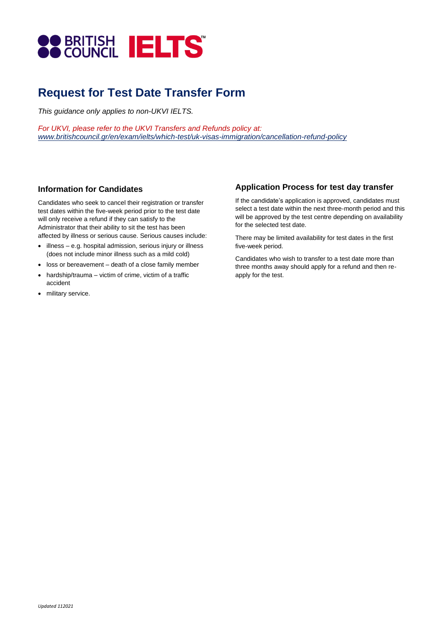

# **Request for Test Date Transfer Form**

*This guidance only applies to non-UKVI IELTS.* 

*For UKVI, please refer to the UKVI Transfers and Refunds policy at: www.britishcouncil.gr/en/exam/ielts/which-test/uk-visas-immigration/cancellation-refund-policy*

#### **Information for Candidates**

Candidates who seek to cancel their registration or transfer test dates within the five-week period prior to the test date will only receive a refund if they can satisfy to the Administrator that their ability to sit the test has been affected by illness or serious cause. Serious causes include:

- illness e.g. hospital admission, serious injury or illness (does not include minor illness such as a mild cold)
- loss or bereavement death of a close family member
- hardship/trauma victim of crime, victim of a traffic accident
- military service.

### **Application Process for test day transfer**

If the candidate's application is approved, candidates must select a test date within the next three-month period and this will be approved by the test centre depending on availability for the selected test date.

There may be limited availability for test dates in the first five-week period.

Candidates who wish to transfer to a test date more than three months away should apply for a refund and then reapply for the test.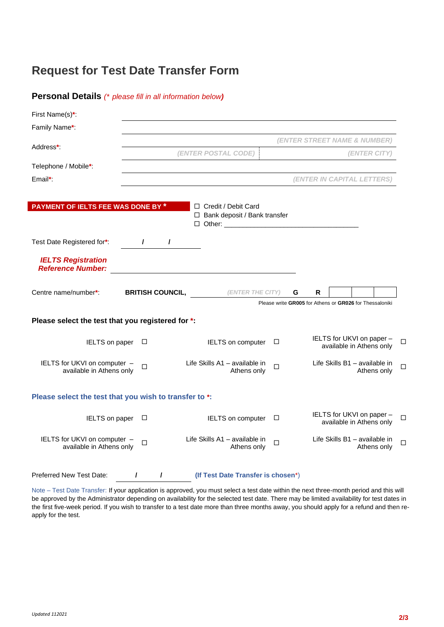## **Request for Test Date Transfer Form**

| <b>Personal Details</b> (* please fill in all information below) |  |  |  |  |  |  |
|------------------------------------------------------------------|--|--|--|--|--|--|
|------------------------------------------------------------------|--|--|--|--|--|--|

| First Name(s)*:                                          |                                     |               |                         |  |                       |                                              |        |   |   |  |                                                         |             |        |
|----------------------------------------------------------|-------------------------------------|---------------|-------------------------|--|-----------------------|----------------------------------------------|--------|---|---|--|---------------------------------------------------------|-------------|--------|
| Family Name*:                                            |                                     |               |                         |  |                       |                                              |        |   |   |  |                                                         |             |        |
| Address*:                                                | (ENTER STREET NAME & NUMBER)        |               |                         |  |                       |                                              |        |   |   |  |                                                         |             |        |
|                                                          | (ENTER POSTAL CODE)<br>(ENTER CITY) |               |                         |  |                       |                                              |        |   |   |  |                                                         |             |        |
| Telephone / Mobile*:                                     |                                     |               |                         |  |                       |                                              |        |   |   |  |                                                         |             |        |
| Email*:                                                  |                                     |               |                         |  |                       |                                              |        |   |   |  | (ENTER IN CAPITAL LETTERS)                              |             |        |
|                                                          |                                     |               |                         |  |                       |                                              |        |   |   |  |                                                         |             |        |
| PAYMENT OF IELTS FEE WAS DONE BY *                       |                                     |               |                         |  | □ Credit / Debit Card | $\Box$ Bank deposit / Bank transfer          |        |   |   |  |                                                         |             |        |
| Test Date Registered for*:                               |                                     | $\mathcal{L}$ | $\prime$                |  |                       |                                              |        |   |   |  |                                                         |             |        |
| <b>IELTS Registration</b><br><b>Reference Number:</b>    |                                     |               |                         |  |                       |                                              |        |   |   |  |                                                         |             |        |
| Centre name/number*:                                     |                                     |               | <b>BRITISH COUNCIL,</b> |  |                       | (ENTER THE CITY)                             |        | G | R |  |                                                         |             |        |
| Please select the test that you registered for *.        |                                     |               |                         |  |                       |                                              |        |   |   |  | Please write GR005 for Athens or GR026 for Thessaloniki |             |        |
| IELTS on paper                                           |                                     | $\Box$        |                         |  |                       | IELTS on computer                            | $\Box$ |   |   |  | IELTS for UKVI on paper -<br>available in Athens only   |             | □      |
| IELTS for UKVI on computer -<br>available in Athens only |                                     | $\Box$        |                         |  |                       | Life Skills A1 - available in<br>Athens only | $\Box$ |   |   |  | Life Skills B1 - available in                           | Athens only | $\Box$ |
| Please select the test that you wish to transfer to *:   |                                     |               |                         |  |                       |                                              |        |   |   |  |                                                         |             |        |
| IELTS on paper                                           |                                     | $\Box$        |                         |  |                       | IELTS on computer                            | □      |   |   |  | IELTS for UKVI on paper -<br>available in Athens only   |             | □      |
| IELTS for UKVI on computer -<br>available in Athens only |                                     | $\Box$        |                         |  |                       | Life Skills A1 - available in<br>Athens only | $\Box$ |   |   |  | Life Skills B1 - available in                           | Athens only | □      |
| <b>Preferred New Test Date:</b>                          | $\prime$                            |               | I                       |  |                       | (If Test Date Transfer is chosen*)           |        |   |   |  |                                                         |             |        |

Note – Test Date Transfer: If your application is approved, you must select a test date within the next three-month period and this will be approved by the Administrator depending on availability for the selected test date. There may be limited availability for test dates in the first five-week period. If you wish to transfer to a test date more than three months away, you should apply for a refund and then reapply for the test.